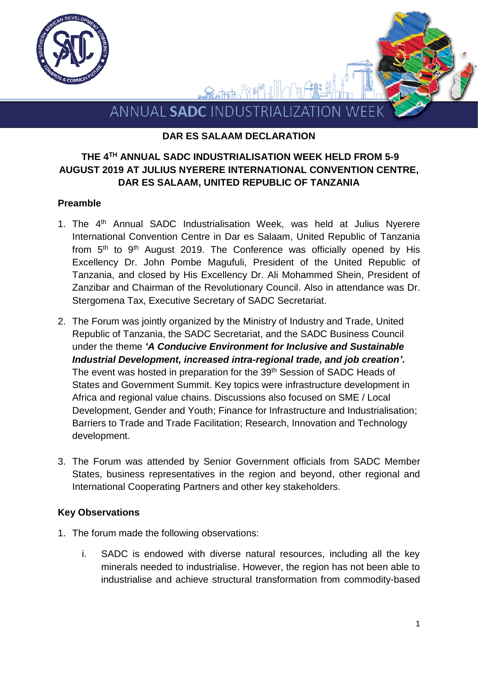

### **DAR ES SALAAM DECLARATION**

## **THE 4 TH ANNUAL SADC INDUSTRIALISATION WEEK HELD FROM 5-9 AUGUST 2019 AT JULIUS NYERERE INTERNATIONAL CONVENTION CENTRE, DAR ES SALAAM, UNITED REPUBLIC OF TANZANIA**

#### **Preamble**

- 1. The 4<sup>th</sup> Annual SADC Industrialisation Week, was held at Julius Nyerere International Convention Centre in Dar es Salaam, United Republic of Tanzania from 5<sup>th</sup> to 9<sup>th</sup> August 2019. The Conference was officially opened by His Excellency Dr. John Pombe Magufuli, President of the United Republic of Tanzania, and closed by His Excellency Dr. Ali Mohammed Shein, President of Zanzibar and Chairman of the Revolutionary Council. Also in attendance was Dr. Stergomena Tax, Executive Secretary of SADC Secretariat.
- 2. The Forum was jointly organized by the Ministry of Industry and Trade, United Republic of Tanzania, the SADC Secretariat, and the SADC Business Council under the theme *'A Conducive Environment for Inclusive and Sustainable Industrial Development, increased intra-regional trade, and job creation'***.** The event was hosted in preparation for the 39<sup>th</sup> Session of SADC Heads of States and Government Summit. Key topics were infrastructure development in Africa and regional value chains. Discussions also focused on SME / Local Development, Gender and Youth; Finance for Infrastructure and Industrialisation; Barriers to Trade and Trade Facilitation; Research, Innovation and Technology development.
- 3. The Forum was attended by Senior Government officials from SADC Member States, business representatives in the region and beyond, other regional and International Cooperating Partners and other key stakeholders.

#### **Key Observations**

- 1. The forum made the following observations:
	- i. SADC is endowed with diverse natural resources, including all the key minerals needed to industrialise. However, the region has not been able to industrialise and achieve structural transformation from commodity-based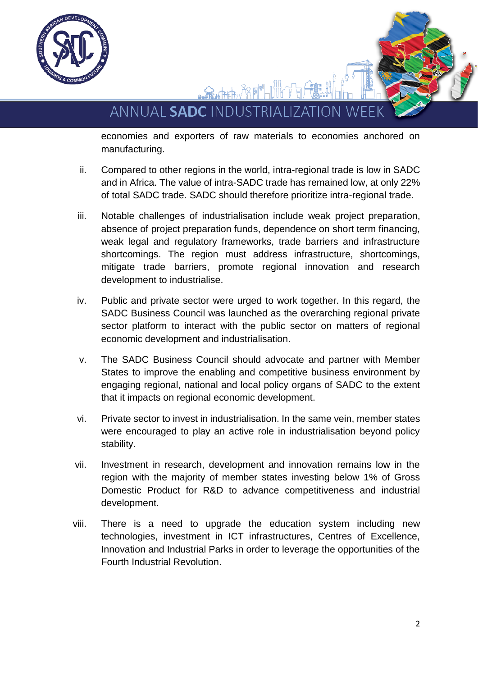

ANNUAL SADC INDUSTRIALIZATION

economies and exporters of raw materials to economies anchored on manufacturing.

- ii. Compared to other regions in the world, intra-regional trade is low in SADC and in Africa. The value of intra-SADC trade has remained low, at only 22% of total SADC trade. SADC should therefore prioritize intra-regional trade.
- iii. Notable challenges of industrialisation include weak project preparation, absence of project preparation funds, dependence on short term financing, weak legal and regulatory frameworks, trade barriers and infrastructure shortcomings. The region must address infrastructure, shortcomings, mitigate trade barriers, promote regional innovation and research development to industrialise.
- iv. Public and private sector were urged to work together. In this regard, the SADC Business Council was launched as the overarching regional private sector platform to interact with the public sector on matters of regional economic development and industrialisation.
- v. The SADC Business Council should advocate and partner with Member States to improve the enabling and competitive business environment by engaging regional, national and local policy organs of SADC to the extent that it impacts on regional economic development.
- vi. Private sector to invest in industrialisation. In the same vein, member states were encouraged to play an active role in industrialisation beyond policy stability.
- vii. Investment in research, development and innovation remains low in the region with the majority of member states investing below 1% of Gross Domestic Product for R&D to advance competitiveness and industrial development.
- viii. There is a need to upgrade the education system including new technologies, investment in ICT infrastructures, Centres of Excellence, Innovation and Industrial Parks in order to leverage the opportunities of the Fourth Industrial Revolution.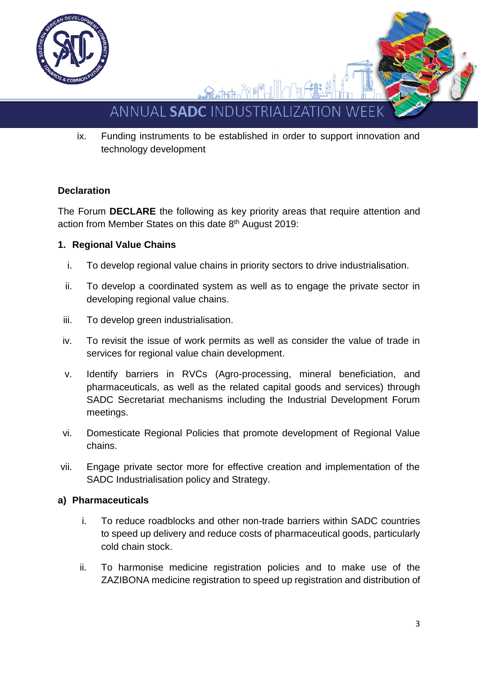

# ANNUAL SADC INDUSTRIAI 17 AT

ix. Funding instruments to be established in order to support innovation and technology development

# **Declaration**

The Forum **DECLARE** the following as key priority areas that require attention and action from Member States on this date 8th August 2019:

# **1. Regional Value Chains**

- i. To develop regional value chains in priority sectors to drive industrialisation.
- ii. To develop a coordinated system as well as to engage the private sector in developing regional value chains.
- iii. To develop green industrialisation.
- iv. To revisit the issue of work permits as well as consider the value of trade in services for regional value chain development.
- v. Identify barriers in RVCs (Agro-processing, mineral beneficiation, and pharmaceuticals, as well as the related capital goods and services) through SADC Secretariat mechanisms including the Industrial Development Forum meetings.
- vi. Domesticate Regional Policies that promote development of Regional Value chains.
- vii. Engage private sector more for effective creation and implementation of the SADC Industrialisation policy and Strategy.

# **a) Pharmaceuticals**

- i. To reduce roadblocks and other non-trade barriers within SADC countries to speed up delivery and reduce costs of pharmaceutical goods, particularly cold chain stock.
- ii. To harmonise medicine registration policies and to make use of the ZAZIBONA medicine registration to speed up registration and distribution of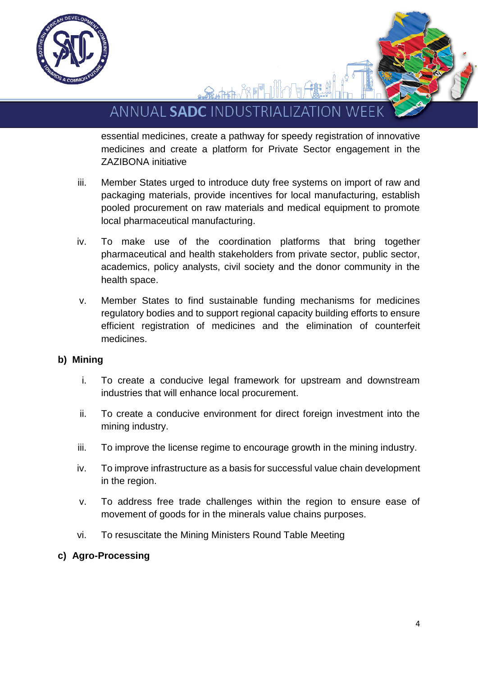

ANNUAL SADC INDUSTRIALIZATION W

FFILLER A

essential medicines, create a pathway for speedy registration of innovative medicines and create a platform for Private Sector engagement in the ZAZIBONA initiative

- iii. Member States urged to introduce duty free systems on import of raw and packaging materials, provide incentives for local manufacturing, establish pooled procurement on raw materials and medical equipment to promote local pharmaceutical manufacturing.
- iv. To make use of the coordination platforms that bring together pharmaceutical and health stakeholders from private sector, public sector, academics, policy analysts, civil society and the donor community in the health space.
- v. Member States to find sustainable funding mechanisms for medicines regulatory bodies and to support regional capacity building efforts to ensure efficient registration of medicines and the elimination of counterfeit medicines.

## **b) Mining**

- i. To create a conducive legal framework for upstream and downstream industries that will enhance local procurement.
- ii. To create a conducive environment for direct foreign investment into the mining industry.
- iii. To improve the license regime to encourage growth in the mining industry.
- iv. To improve infrastructure as a basis for successful value chain development in the region.
- v. To address free trade challenges within the region to ensure ease of movement of goods for in the minerals value chains purposes.
- vi. To resuscitate the Mining Ministers Round Table Meeting

#### **c) Agro-Processing**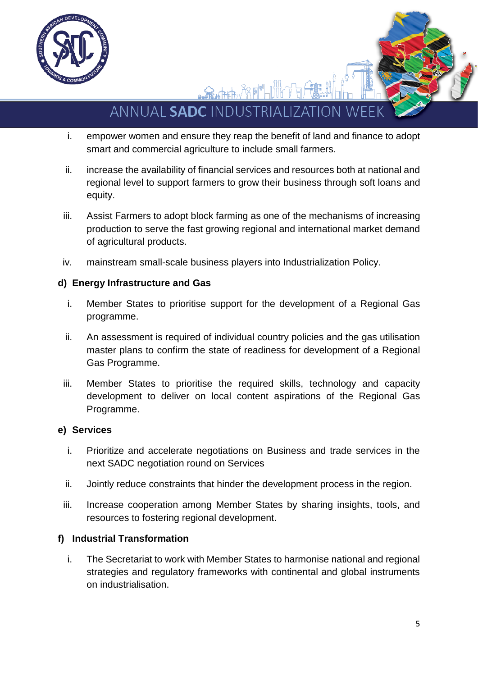

ANNUAL SADC INDUSTRIALIZATION W

<del>Q</del>∡ħ₽₽₩₩₽

- i. empower women and ensure they reap the benefit of land and finance to adopt smart and commercial agriculture to include small farmers.
- ii. increase the availability of financial services and resources both at national and regional level to support farmers to grow their business through soft loans and equity.
- iii. Assist Farmers to adopt block farming as one of the mechanisms of increasing production to serve the fast growing regional and international market demand of agricultural products.
- iv. mainstream small-scale business players into Industrialization Policy.

## **d) Energy Infrastructure and Gas**

- i. Member States to prioritise support for the development of a Regional Gas programme.
- ii. An assessment is required of individual country policies and the gas utilisation master plans to confirm the state of readiness for development of a Regional Gas Programme.
- iii. Member States to prioritise the required skills, technology and capacity development to deliver on local content aspirations of the Regional Gas Programme.

## **e) Services**

- i. Prioritize and accelerate negotiations on Business and trade services in the next SADC negotiation round on Services
- ii. Jointly reduce constraints that hinder the development process in the region.
- iii. Increase cooperation among Member States by sharing insights, tools, and resources to fostering regional development.

## **f) Industrial Transformation**

i. The Secretariat to work with Member States to harmonise national and regional strategies and regulatory frameworks with continental and global instruments on industrialisation.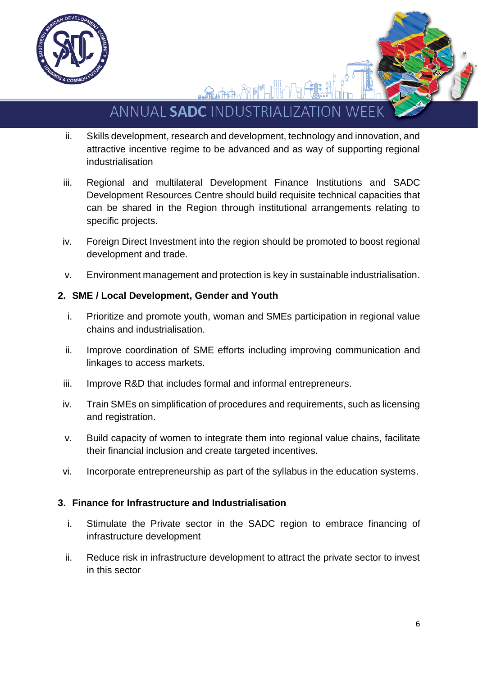

ANNUAL SADC INDUSTRIAL TZATION W

 $\mathbf{R}_{\mathbf{a}}$  , the  $\mathcal{R}$  of  $\mathbb{F}_{\mathbb{H}}$ 

- ii. Skills development, research and development, technology and innovation, and attractive incentive regime to be advanced and as way of supporting regional industrialisation
- iii. Regional and multilateral Development Finance Institutions and SADC Development Resources Centre should build requisite technical capacities that can be shared in the Region through institutional arrangements relating to specific projects.
- iv. Foreign Direct Investment into the region should be promoted to boost regional development and trade.
- v. Environment management and protection is key in sustainable industrialisation.

## **2. SME / Local Development, Gender and Youth**

- i. Prioritize and promote youth, woman and SMEs participation in regional value chains and industrialisation.
- ii. Improve coordination of SME efforts including improving communication and linkages to access markets.
- iii. Improve R&D that includes formal and informal entrepreneurs.
- iv. Train SMEs on simplification of procedures and requirements, such as licensing and registration.
- v. Build capacity of women to integrate them into regional value chains, facilitate their financial inclusion and create targeted incentives.
- vi. Incorporate entrepreneurship as part of the syllabus in the education systems.

## **3. Finance for Infrastructure and Industrialisation**

- i. Stimulate the Private sector in the SADC region to embrace financing of infrastructure development
- ii. Reduce risk in infrastructure development to attract the private sector to invest in this sector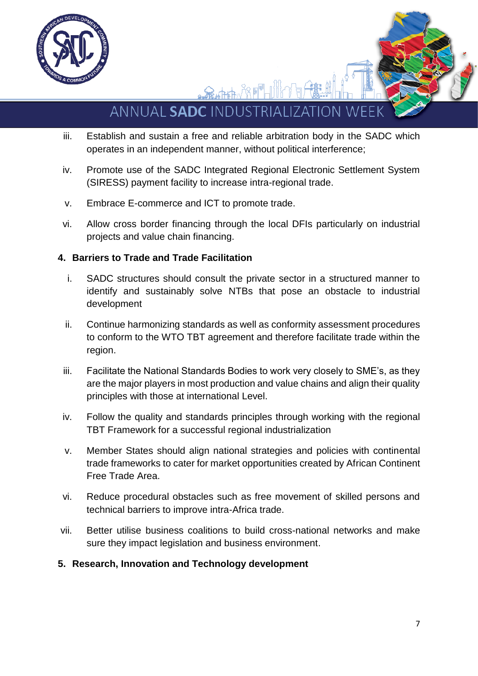

ANNUAL SADC INDUSTRIAL **IZATION WE** 

金糖麻水用

- iii. Establish and sustain a free and reliable arbitration body in the SADC which operates in an independent manner, without political interference;
- iv. Promote use of the SADC Integrated Regional Electronic Settlement System (SIRESS) payment facility to increase intra-regional trade.
- v. Embrace E-commerce and ICT to promote trade.
- vi. Allow cross border financing through the local DFIs particularly on industrial projects and value chain financing.

## **4. Barriers to Trade and Trade Facilitation**

- i. SADC structures should consult the private sector in a structured manner to identify and sustainably solve NTBs that pose an obstacle to industrial development
- ii. Continue harmonizing standards as well as conformity assessment procedures to conform to the WTO TBT agreement and therefore facilitate trade within the region.
- iii. Facilitate the National Standards Bodies to work very closely to SME's, as they are the major players in most production and value chains and align their quality principles with those at international Level.
- iv. Follow the quality and standards principles through working with the regional TBT Framework for a successful regional industrialization
- v. Member States should align national strategies and policies with continental trade frameworks to cater for market opportunities created by African Continent Free Trade Area.
- vi. Reduce procedural obstacles such as free movement of skilled persons and technical barriers to improve intra-Africa trade.
- vii. Better utilise business coalitions to build cross-national networks and make sure they impact legislation and business environment.
- **5. Research, Innovation and Technology development**